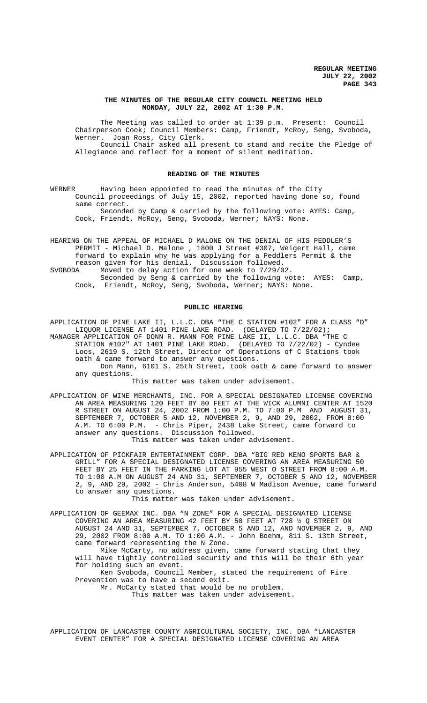### **THE MINUTES OF THE REGULAR CITY COUNCIL MEETING HELD MONDAY, JULY 22, 2002 AT 1:30 P.M.**

The Meeting was called to order at 1:39 p.m. Present: Council Chairperson Cook; Council Members: Camp, Friendt, McRoy, Seng, Svoboda, Werner. Joan Ross, City Clerk. Council Chair asked all present to stand and recite the Pledge of Allegiance and reflect for a moment of silent meditation.

#### **READING OF THE MINUTES**

WERNER Having been appointed to read the minutes of the City Council proceedings of July 15, 2002, reported having done so, found same correct. Seconded by Camp & carried by the following vote: AYES: Camp,

Cook, Friendt, McRoy, Seng, Svoboda, Werner; NAYS: None.

HEARING ON THE APPEAL OF MICHAEL D MALONE ON THE DENIAL OF HIS PEDDLER'S PERMIT - Michael D. Malone , 1800 J Street #307, Weigert Hall, came forward to explain why he was applying for a Peddlers Permit & the reason given for his denial. Discussion followed. SVOBODA Moved to delay action for one week to 7/29/02.

Seconded by Seng & carried by the following vote: AYES: Camp, Cook, Friendt, McRoy, Seng, Svoboda, Werner; NAYS: None.

#### **PUBLIC HEARING**

APPLICATION OF PINE LAKE II, L.L.C. DBA "THE C STATION #102" FOR A CLASS "D" LIQUOR LICENSE AT 1401 PINE LAKE ROAD. (DELAYED TO 7/22/02);

MANAGER APPLICATION OF DONN R. MANN FOR PINE LAKE II, L.L.C. DBA "THE C STATION #102" AT 1401 PINE LAKE ROAD. (DELAYED TO 7/22/02) - Cyndee Loos, 2619 S. 12th Street, Director of Operations of C Stations took oath & came forward to answer any questions.

Don Mann, 6101 S. 25th Street, took oath & came forward to answer any questions.

This matter was taken under advisement.

APPLICATION OF WINE MERCHANTS, INC. FOR A SPECIAL DESIGNATED LICENSE COVERING AN AREA MEASURING 120 FEET BY 80 FEET AT THE WICK ALUMNI CENTER AT 1520 R STREET ON AUGUST 24, 2002 FROM 1:00 P.M. TO 7:00 P.M AND AUGUST 31, SEPTEMBER 7, OCTOBER 5 AND 12, NOVEMBER 2, 9, AND 29, 2002, FROM 8:00 A.M. TO 6:00 P.M. - Chris Piper, 2438 Lake Street, came forward to answer any questions. Discussion followed. This matter was taken under advisement.

APPLICATION OF PICKFAIR ENTERTAINMENT CORP. DBA "BIG RED KENO SPORTS BAR & GRILL" FOR A SPECIAL DESIGNATED LICENSE COVERING AN AREA MEASURING 50 FEET BY 25 FEET IN THE PARKING LOT AT 955 WEST O STREET FROM 8:00 A.M. TO 1:00 A.M ON AUGUST 24 AND 31, SEPTEMBER 7, OCTOBER 5 AND 12, NOVEMBER 2, 9, AND 29, 2002 - Chris Anderson, 5408 W Madison Avenue, came forward to answer any questions.

This matter was taken under advisement.

APPLICATION OF GEEMAX INC. DBA "N ZONE" FOR A SPECIAL DESIGNATED LICENSE COVERING AN AREA MEASURING 42 FEET BY 50 FEET AT 728 ½ Q STREET ON AUGUST 24 AND 31, SEPTEMBER 7, OCTOBER 5 AND 12, AND NOVEMBER 2, 9, AND 29, 2002 FROM 8:00 A.M. TO 1:00 A.M. - John Boehm, 811 S. 13th Street, came forward representing the N Zone. Mike McCarty, no address given, came forward stating that they

will have tightly controlled security and this will be their 6th year for holding such an event.

Ken Svoboda, Council Member, stated the requirement of Fire Prevention was to have a second exit.

Mr. McCarty stated that would be no problem.

This matter was taken under advisement.

APPLICATION OF LANCASTER COUNTY AGRICULTURAL SOCIETY, INC. DBA "LANCASTER EVENT CENTER" FOR A SPECIAL DESIGNATED LICENSE COVERING AN AREA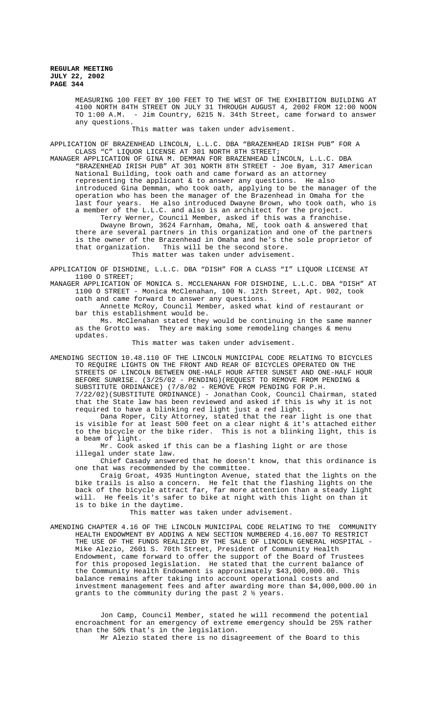MEASURING 100 FEET BY 100 FEET TO THE WEST OF THE EXHIBITION BUILDING AT 4100 NORTH 84TH STREET ON JULY 31 THROUGH AUGUST 4, 2002 FROM 12:00 NOON TO 1:00 A.M. - Jim Country, 6215 N. 34th Street, came forward to answer any questions.

This matter was taken under advisement.

APPLICATION OF BRAZENHEAD LINCOLN, L.L.C. DBA "BRAZENHEAD IRISH PUB" FOR A CLASS "C" LIQUOR LICENSE AT 301 NORTH 8TH STREET;

MANAGER APPLICATION OF GINA M. DEMMAN FOR BRAZENHEAD LINCOLN, L.L.C. DBA "BRAZENHEAD IRISH PUB" AT 301 NORTH 8TH STREET - Joe Byam, 317 American National Building, took oath and came forward as an attorney representing the applicant & to answer any questions. He also introduced Gina Demman, who took oath, applying to be the manager of the operation who has been the manager of the Brazenhead in Omaha for the last four years. He also introduced Dwayne Brown, who took oath, who is a member of the L.L.C. and also is an architect for the project.

Terry Werner, Council Member, asked if this was a franchise. Dwayne Brown, 3624 Farnham, Omaha, NE, took oath & answered that there are several partners in this organization and one of the partners is the owner of the Brazenhead in Omaha and he's the sole proprietor of that organization. This will be the second store. This matter was taken under advisement.

APPLICATION OF DISHDINE, L.L.C. DBA "DISH" FOR A CLASS "I" LIQUOR LICENSE AT 1100 O STREET;

MANAGER APPLICATION OF MONICA S. MCCLENAHAN FOR DISHDINE, L.L.C. DBA "DISH" AT 1100 O STREET - Monica McClenahan, 100 N. 12th Street, Apt. 902, took oath and came forward to answer any questions.

Annette McRoy, Council Member, asked what kind of restaurant or bar this establishment would be.

Ms. McClenahan stated they would be continuing in the same manner as the Grotto was. They are making some remodeling changes & menu updates.

This matter was taken under advisement.

AMENDING SECTION 10.48.110 OF THE LINCOLN MUNICIPAL CODE RELATING TO BICYCLES TO REQUIRE LIGHTS ON THE FRONT AND REAR OF BICYCLES OPERATED ON THE STREETS OF LINCOLN BETWEEN ONE-HALF HOUR AFTER SUNSET AND ONE-HALF HOUR BEFORE SUNRISE. (3/25/02 - PENDING)(REQUEST TO REMOVE FROM PENDING & SUBSTITUTE ORDINANCE) (7/8/02 - REMOVE FROM PENDING FOR P.H. 7/22/02)(SUBSTITUTE ORDINANCE) - Jonathan Cook, Council Chairman, stated that the State law has been reviewed and asked if this is why it is not required to have a blinking red light just a red light.

Dana Roper, City Attorney, stated that the rear light is one that is visible for at least 500 feet on a clear night & it's attached either to the bicycle or the bike rider. This is not a blinking light, this is a beam of light.

Mr. Cook asked if this can be a flashing light or are those illegal under state law.

Chief Casady answered that he doesn't know, that this ordinance is one that was recommended by the committee.

Craig Groat, 4935 Huntington Avenue, stated that the lights on the bike trails is also a concern. He felt that the flashing lights on the back of the bicycle attract far, far more attention than a steady light will. He feels it's safer to bike at night with this light on than it is to bike in the daytime.

This matter was taken under advisement.

AMENDING CHAPTER 4.16 OF THE LINCOLN MUNICIPAL CODE RELATING TO THE COMMUNITY HEALTH ENDOWMENT BY ADDING A NEW SECTION NUMBERED 4.16.007 TO RESTRICT THE USE OF THE FUNDS REALIZED BY THE SALE OF LINCOLN GENERAL HOSPITAL - Mike Alezio, 2601 S. 70th Street, President of Community Health Endowment, came forward to offer the support of the Board of Trustees for this proposed legislation. He stated that the current balance of the Community Health Endowment is approximately \$43,000,000.00. This balance remains after taking into account operational costs and investment management fees and after awarding more than \$4,000,000.00 in grants to the community during the past 2 ½ years.

Jon Camp, Council Member, stated he will recommend the potential encroachment for an emergency of extreme emergency should be 25% rather than the 50% that's in the legislation.

Mr Alezio stated there is no disagreement of the Board to this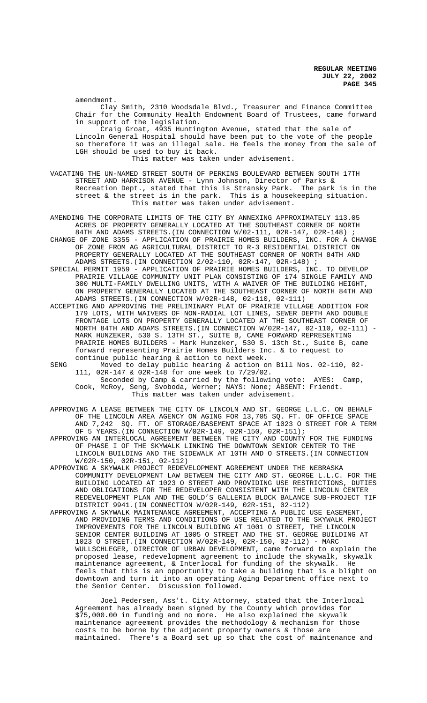amendment.

Clay Smith, 2310 Woodsdale Blvd., Treasurer and Finance Committee Chair for the Community Health Endowment Board of Trustees, came forward in support of the legislation.

Craig Groat, 4935 Huntington Avenue, stated that the sale of Lincoln General Hospital should have been put to the vote of the people so therefore it was an illegal sale. He feels the money from the sale of LGH should be used to buy it back.

This matter was taken under advisement.

VACATING THE UN-NAMED STREET SOUTH OF PERKINS BOULEVARD BETWEEN SOUTH 17TH STREET AND HARRISON AVENUE - Lynn Johnson, Director of Parks & Recreation Dept., stated that this is Stransky Park. The park is in the street & the street is in the park. This is a housekeeping situation. This matter was taken under advisement.

AMENDING THE CORPORATE LIMITS OF THE CITY BY ANNEXING APPROXIMATELY 113.05 ACRES OF PROPERTY GENERALLY LOCATED AT THE SOUTHEAST CORNER OF NORTH 84TH AND ADAMS STREETS. (IN CONNECTION W/02-111, 02R-147, 02R-148) ; CHANGE OF ZONE 3355 - APPLICATION OF PRAIRIE HOMES BUILDERS, INC. FOR A CHANGE OF ZONE FROM AG AGRICULTURAL DISTRICT TO R-3 RESIDENTIAL DISTRICT ON PROPERTY GENERALLY LOCATED AT THE SOUTHEAST CORNER OF NORTH 84TH AND

ADAMS STREETS.(IN CONNECTION 2/02-110, 02R-147, 02R-148) ; SPECIAL PERMIT 1959 - APPLICATION OF PRAIRIE HOMES BUILDERS, INC. TO DEVELOP PRAIRIE VILLAGE COMMUNITY UNIT PLAN CONSISTING OF 174 SINGLE FAMILY AND 300 MULTI-FAMILY DWELLING UNITS, WITH A WAIVER OF THE BUILDING HEIGHT, ON PROPERTY GENERALLY LOCATED AT THE SOUTHEAST CORNER OF NORTH 84TH AND ADAMS STREETS.(IN CONNECTION W/02R-148, 02-110, 02-111)

ACCEPTING AND APPROVING THE PRELIMINARY PLAT OF PRAIRIE VILLAGE ADDITION FOR 179 LOTS, WITH WAIVERS OF NON-RADIAL LOT LINES, SEWER DEPTH AND DOUBLE FRONTAGE LOTS ON PROPERTY GENERALLY LOCATED AT THE SOUTHEAST CORNER OF NORTH 84TH AND ADAMS STREETS.(IN CONNECTION W/02R-147, 02-110, 02-111) - MARK HUNZEKER, 530 S. 13TH ST., SUITE B, CAME FORWARD REPRESENTING PRAIRIE HOMES BUILDERS - Mark Hunzeker, 530 S. 13th St., Suite B, came forward representing Prairie Homes Builders Inc. & to request to continue public hearing & action to next week.

SENG Moved to delay public hearing & action on Bill Nos. 02-110, 02-<br>111. 02R-147 & 02R-148 for one week to  $7/29/02$ . 02R-147 & 02R-148 for one week to 7/29/02. Seconded by Camp & carried by the following vote: AYES: Camp, Cook, McRoy, Seng, Svoboda, Werner; NAYS: None; ABSENT: Friendt.

This matter was taken under advisement.

APPROVING A LEASE BETWEEN THE CITY OF LINCOLN AND ST. GEORGE L.L.C. ON BEHALF OF THE LINCOLN AREA AGENCY ON AGING FOR 13,705 SQ. FT. OF OFFICE SPACE AND 7,242 SQ. FT. OF STORAGE/BASEMENT SPACE AT 1023 O STREET FOR A TERM OF 5 YEARS.(IN CONNECTION W/02R-149, 02R-150, 02R-151);

APPROVING AN INTERLOCAL AGREEMENT BETWEEN THE CITY AND COUNTY FOR THE FUNDING OF PHASE I OF THE SKYWALK LINKING THE DOWNTOWN SENIOR CENTER TO THE LINCOLN BUILDING AND THE SIDEWALK AT 10TH AND O STREETS.(IN CONNECTION W/02R-150, 02R-151, 02-112)

APPROVING A SKYWALK PROJECT REDEVELOPMENT AGREEMENT UNDER THE NEBRASKA COMMUNITY DEVELOPMENT LAW BETWEEN THE CITY AND ST. GEORGE L.L.C. FOR THE BUILDING LOCATED AT 1023 O STREET AND PROVIDING USE RESTRICTIONS, DUTIES AND OBLIGATIONS FOR THE REDEVELOPER CONSISTENT WITH THE LINCOLN CENTER REDEVELOPMENT PLAN AND THE GOLD'S GALLERIA BLOCK BALANCE SUB-PROJECT TIF DISTRICT 9941.(IN CONNECTION W/02R-149, 02R-151, 02-112)

APPROVING A SKYWALK MAINTENANCE AGREEMENT, ACCEPTING A PUBLIC USE EASEMENT, AND PROVIDING TERMS AND CONDITIONS OF USE RELATED TO THE SKYWALK PROJECT IMPROVEMENTS FOR THE LINCOLN BUILDING AT 1001 O STREET, THE LINCOLN SENIOR CENTER BUILDING AT 1005 O STREET AND THE ST. GEORGE BUILDING AT 1023 O STREET.(IN CONNECTION W/02R-149, 02R-150, 02-112) - MARC WULLSCHLEGER, DIRECTOR OF URBAN DEVELOPMENT, came forward to explain the proposed lease, redevelopment agreement to include the skywalk, skywalk maintenance agreement, & Interlocal for funding of the skywalk. He feels that this is an opportunity to take a building that is a blight on downtown and turn it into an operating Aging Department office next to the Senior Center. Discussion followed.

Joel Pedersen, Ass't. City Attorney, stated that the Interlocal Agreement has already been signed by the County which provides for \$75,000.00 in funding and no more. He also explained the skywalk maintenance agreement provides the methodology & mechanism for those costs to be borne by the adjacent property owners & those are maintained. There's a Board set up so that the cost of maintenance and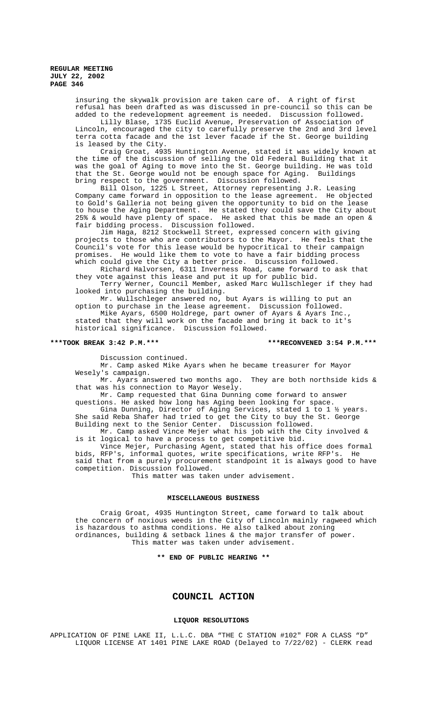insuring the skywalk provision are taken care of. A right of first refusal has been drafted as was discussed in pre-council so this can be added to the redevelopment agreement is needed. Discussion followed.

Lilly Blase, 1735 Euclid Avenue, Preservation of Association of Lincoln, encouraged the city to carefully preserve the 2nd and 3rd level terra cotta facade and the 1st lever facade if the St. George building is leased by the City.

Craig Groat, 4935 Huntington Avenue, stated it was widely known at the time of the discussion of selling the Old Federal Building that it was the goal of Aging to move into the St. George building. He was told that the St. George would not be enough space for Aging. Buildings that the  $St.$  George would not be enough space for Aging. bring respect to the government. Discussion followed.

Bill Olson, 1225 L Street, Attorney representing J.R. Leasing Company came forward in opposition to the lease agreement. He objected to Gold's Galleria not being given the opportunity to bid on the lease to house the Aging Department. He stated they could save the City about 25% & would have plenty of space. He asked that this be made an open & fair bidding process. Discussion followed.

Jim Haga, 8212 Stockwell Street, expressed concern with giving projects to those who are contributors to the Mayor. He feels that the Council's vote for this lease would be hypocritical to their campaign promises. He would like them to vote to have a fair bidding process which could give the City a better price. Discussion followed.

Richard Halvorsen, 6311 Inverness Road, came forward to ask that they vote against this lease and put it up for public bid.

Terry Werner, Council Member, asked Marc Wullschleger if they had looked into purchasing the building.

Mr. Wullschleger answered no, but Ayars is willing to put an option to purchase in the lease agreement. Discussion followed.

Mike Ayars, 6500 Holdrege, part owner of Ayars & Ayars Inc., stated that they will work on the facade and bring it back to it's historical significance. Discussion followed.

#### **\*\*\*TOOK BREAK 3:42 P.M.\*\*\* \*\*\*RECONVENED 3:54 P.M.\*\*\***

Discussion continued.

Mr. Camp asked Mike Ayars when he became treasurer for Mayor Wesely's campaign.

Mr. Ayars answered two months ago. They are both northside kids & that was his connection to Mayor Wesely.

Mr. Camp requested that Gina Dunning come forward to answer questions. He asked how long has Aging been looking for space. Gina Dunning, Director of Aging Services, stated 1 to 1 ½ years. She said Reba Shafer had tried to get the City to buy the St. George Building next to the Senior Center. Discussion followed.

Mr. Camp asked Vince Mejer what his job with the City involved & is it logical to have a process to get competitive bid.

Vince Mejer, Purchasing Agent, stated that his office does formal bids, RFP's, informal quotes, write specifications, write RFP's. He said that from a purely procurement standpoint it is always good to have competition. Discussion followed.

This matter was taken under advisement.

#### **MISCELLANEOUS BUSINESS**

Craig Groat, 4935 Huntington Street, came forward to talk about the concern of noxious weeds in the City of Lincoln mainly ragweed which is hazardous to asthma conditions. He also talked about zoning ordinances, building & setback lines & the major transfer of power. This matter was taken under advisement.

### **\*\* END OF PUBLIC HEARING \*\***

# **COUNCIL ACTION**

### **LIQUOR RESOLUTIONS**

APPLICATION OF PINE LAKE II, L.L.C. DBA "THE C STATION #102" FOR A CLASS "D" LIQUOR LICENSE AT 1401 PINE LAKE ROAD (Delayed to 7/22/02) - CLERK read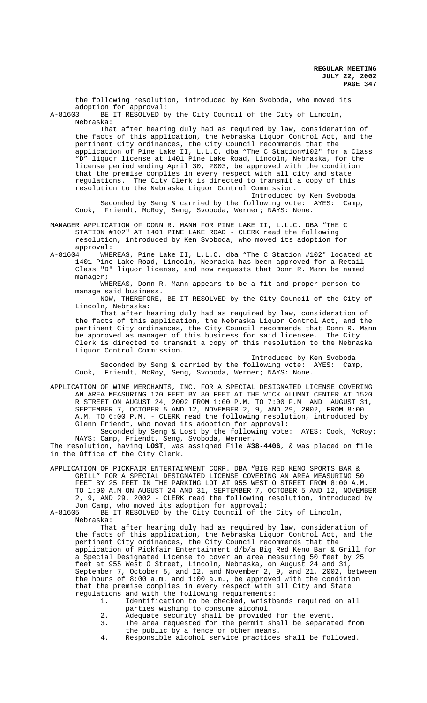the following resolution, introduced by Ken Svoboda, who moved its adoption for approval:<br>A-81603 BE IT RESOLVED b

BE IT RESOLVED by the City Council of the City of Lincoln, Nebraska:

That after hearing duly had as required by law, consideration of the facts of this application, the Nebraska Liquor Control Act, and the pertinent City ordinances, the City Council recommends that the application of Pine Lake II, L.L.C. dba "The C Station#102" for a Class "D" liquor license at 1401 Pine Lake Road, Lincoln, Nebraska, for the license period ending April 30, 2003, be approved with the condition that the premise complies in every respect with all city and state regulations. The City Clerk is directed to transmit a copy of this resolution to the Nebraska Liquor Control Commission.

Introduced by Ken Svoboda Seconded by Seng & carried by the following vote: AYES: Camp, Cook, Friendt, McRoy, Seng, Svoboda, Werner; NAYS: None.

MANAGER APPLICATION OF DONN R. MANN FOR PINE LAKE II, L.L.C. DBA "THE C STATION #102" AT 1401 PINE LAKE ROAD - CLERK read the following resolution, introduced by Ken Svoboda, who moved its adoption for

approval:<br>A-81604 WHE A-81604 WHEREAS, Pine Lake II, L.L.C. dba "The C Station #102" located at 1401 Pine Lake Road, Lincoln, Nebraska has been approved for a Retail Class "D" liquor license, and now requests that Donn R. Mann be named manager;

WHEREAS, Donn R. Mann appears to be a fit and proper person to manage said business.

NOW, THEREFORE, BE IT RESOLVED by the City Council of the City of Lincoln, Nebraska:

That after hearing duly had as required by law, consideration of the facts of this application, the Nebraska Liquor Control Act, and the pertinent City ordinances, the City Council recommends that Donn R. Mann be approved as manager of this business for said licensee. The City Clerk is directed to transmit a copy of this resolution to the Nebraska Liquor Control Commission.

Introduced by Ken Svoboda Seconded by Seng & carried by the following vote: AYES: Camp, Cook, Friendt, McRoy, Seng, Svoboda, Werner; NAYS: None.

APPLICATION OF WINE MERCHANTS, INC. FOR A SPECIAL DESIGNATED LICENSE COVERING AN AREA MEASURING 120 FEET BY 80 FEET AT THE WICK ALUMNI CENTER AT 1520 R STREET ON AUGUST 24, 2002 FROM 1:00 P.M. TO 7:00 P.M AND AUGUST 31, SEPTEMBER 7, OCTOBER 5 AND 12, NOVEMBER 2, 9, AND 29, 2002, FROM 8:00 A.M. TO 6:00 P.M. - CLERK read the following resolution, introduced by Glenn Friendt, who moved its adoption for approval:

Seconded by Seng & Lost by the following vote: AYES: Cook, McRoy; NAYS: Camp, Friendt, Seng, Svoboda, Werner.

The resolution, having **LOST**, was assigned File **#38-4406**, & was placed on file in the Office of the City Clerk.

APPLICATION OF PICKFAIR ENTERTAINMENT CORP. DBA "BIG RED KENO SPORTS BAR & GRILL" FOR A SPECIAL DESIGNATED LICENSE COVERING AN AREA MEASURING 50 FEET BY 25 FEET IN THE PARKING LOT AT 955 WEST O STREET FROM 8:00 A.M. TO 1:00 A.M ON AUGUST 24 AND 31, SEPTEMBER 7, OCTOBER 5 AND 12, NOVEMBER 2, 9, AND 29, 2002 - CLERK read the following resolution, introduced by Jon Camp, who moved its adoption for approval:<br>A-81605 BE IT RESOLVED by the City Council of the

BE IT RESOLVED by the City Council of the City of Lincoln, Nebraska:

That after hearing duly had as required by law, consideration of the facts of this application, the Nebraska Liquor Control Act, and the pertinent City ordinances, the City Council recommends that the application of Pickfair Entertainment d/b/a Big Red Keno Bar & Grill for a Special Designated License to cover an area measuring 50 feet by 25 feet at 955 West O Street, Lincoln, Nebraska, on August 24 and 31, September 7, October 5, and 12, and November 2, 9, and 21, 2002, between the hours of 8:00 a.m. and 1:00 a.m., be approved with the condition that the premise complies in every respect with all City and State regulations and with the following requirements:

- 1. Identification to be checked, wristbands required on all parties wishing to consume alcohol.
- 2. Adequate security shall be provided for the event.
- 3. The area requested for the permit shall be separated from the public by a fence or other means.
- 4. Responsible alcohol service practices shall be followed.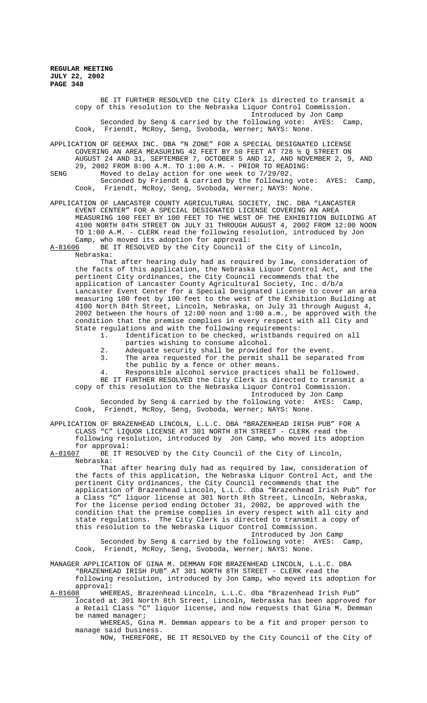> BE IT FURTHER RESOLVED the City Clerk is directed to transmit a copy of this resolution to the Nebraska Liquor Control Commission. Introduced by Jon Camp Seconded by Seng & carried by the following vote: AYES: Camp, Cook, Friendt, McRoy, Seng, Svoboda, Werner; NAYS: None.

APPLICATION OF GEEMAX INC. DBA "N ZONE" FOR A SPECIAL DESIGNATED LICENSE COVERING AN AREA MEASURING 42 FEET BY 50 FEET AT 728 ½ Q STREET ON AUGUST 24 AND 31, SEPTEMBER 7, OCTOBER 5 AND 12, AND NOVEMBER 2, 9, AND 29, 2002 FROM 8:00 A.M. TO 1:00 A.M. - PRIOR TO READING:

SENG Moved to delay action for one week to 7/29/02. Seconded by Friendt & carried by the following vote: AYES: Camp, Cook, Friendt, McRoy, Seng, Svoboda, Werner; NAYS: None.

APPLICATION OF LANCASTER COUNTY AGRICULTURAL SOCIETY, INC. DBA "LANCASTER EVENT CENTER" FOR A SPECIAL DESIGNATED LICENSE COVERING AN AREA MEASURING 100 FEET BY 100 FEET TO THE WEST OF THE EXHIBITION BUILDING AT 4100 NORTH 84TH STREET ON JULY 31 THROUGH AUGUST 4, 2002 FROM 12:00 NOON TO 1:00 A.M. - CLERK read the following resolution, introduced by Jon Camp, who moved its adoption for approval:

A-81606 BE IT RESOLVED by the City Council of the City of Lincoln, Nebraska:

That after hearing duly had as required by law, consideration of the facts of this application, the Nebraska Liquor Control Act, and the pertinent City ordinances, the City Council recommends that the application of Lancaster County Agricultural Society, Inc. d/b/a Lancaster Event Center for a Special Designated License to cover an area measuring 100 feet by 100 feet to the west of the Exhibition Building at 4100 North 84th Street, Lincoln, Nebraska, on July 31 through August 4, 2002 between the hours of 12:00 noon and 1:00 a.m., be approved with the condition that the premise complies in every respect with all City and State regulations and with the following requirements:

1. Identification to be checked, wristbands required on all parties wishing to consume alcohol.

- 2. Adequate security shall be provided for the event.<br>3. The area requested for the permit shall be separat
- The area requested for the permit shall be separated from the public by a fence or other means.
- Responsible alcohol service practices shall be followed. BE IT FURTHER RESOLVED the City Clerk is directed to transmit a

copy of this resolution to the Nebraska Liquor Control Commission. Introduced by Jon Camp

Seconded by Seng & carried by the following vote: AYES: Camp, Cook, Friendt, McRoy, Seng, Svoboda, Werner; NAYS: None.

APPLICATION OF BRAZENHEAD LINCOLN, L.L.C. DBA "BRAZENHEAD IRISH PUB" FOR A CLASS "C" LIQUOR LICENSE AT 301 NORTH 8TH STREET - CLERK read the following resolution, introduced by Jon Camp, who moved its adoption

for approval:<br>A-81607 BE IT R BE IT RESOLVED by the City Council of the City of Lincoln, Nebraska:

That after hearing duly had as required by law, consideration of the facts of this application, the Nebraska Liquor Control Act, and the pertinent City ordinances, the City Council recommends that the application of Brazenhead Lincoln, L.L.C. dba "Brazenhead Irish Pub" for a Class "C" liquor license at 301 North 8th Street, Lincoln, Nebraska, for the license period ending October 31, 2002, be approved with the condition that the premise complies in every respect with all city and state regulations. The City Clerk is directed to transmit a copy of this resolution to the Nebraska Liquor Control Commission.

Introduced by Jon Camp Seconded by Seng & carried by the following vote: AYES: Camp, Cook, Friendt, McRoy, Seng, Svoboda, Werner; NAYS: None.

MANAGER APPLICATION OF GINA M. DEMMAN FOR BRAZENHEAD LINCOLN, L.L.C. DBA "BRAZENHEAD IRISH PUB" AT 301 NORTH 8TH STREET - CLERK read the following resolution, introduced by Jon Camp, who moved its adoption for approval:

A-81608 WHEREAS, Brazenhead Lincoln, L.L.C. dba "Brazenhead Irish Pub" located at 301 North 8th Street, Lincoln, Nebraska has been approved for a Retail Class "C" liquor license, and now requests that Gina M. Demman be named manager;

WHEREAS, Gina M. Demman appears to be a fit and proper person to manage said business.

NOW, THEREFORE, BE IT RESOLVED by the City Council of the City of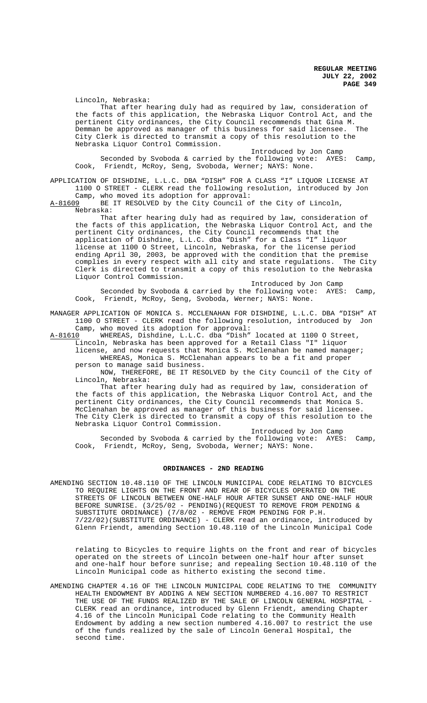Lincoln, Nebraska:

That after hearing duly had as required by law, consideration of the facts of this application, the Nebraska Liquor Control Act, and the pertinent City ordinances, the City Council recommends that Gina M. Demman be approved as manager of this business for said licensee. City Clerk is directed to transmit a copy of this resolution to the Nebraska Liquor Control Commission.

Introduced by Jon Camp Seconded by Svoboda & carried by the following vote: AYES: Camp, Cook, Friendt, McRoy, Seng, Svoboda, Werner; NAYS: None.

APPLICATION OF DISHDINE, L.L.C. DBA "DISH" FOR A CLASS "I" LIQUOR LICENSE AT 1100 O STREET - CLERK read the following resolution, introduced by Jon

Camp, who moved its adoption for approval:<br>A-81609 BE IT RESOLVED by the City Council of BE IT RESOLVED by the City Council of the City of Lincoln, Nebraska:

That after hearing duly had as required by law, consideration of the facts of this application, the Nebraska Liquor Control Act, and the pertinent City ordinances, the City Council recommends that the application of Dishdine, L.L.C. dba "Dish" for a Class "I" liquor license at 1100 O Street, Lincoln, Nebraska, for the license period ending April 30, 2003, be approved with the condition that the premise complies in every respect with all city and state regulations. The City Clerk is directed to transmit a copy of this resolution to the Nebraska Liquor Control Commission.

Introduced by Jon Camp Seconded by Svoboda & carried by the following vote: AYES: Camp, Cook, Friendt, McRoy, Seng, Svoboda, Werner; NAYS: None.

MANAGER APPLICATION OF MONICA S. MCCLENAHAN FOR DISHDINE, L.L.C. DBA "DISH" AT 1100 O STREET - CLERK read the following resolution, introduced by Jon Camp, who moved its adoption for approval:

A-81610 WHEREAS, Dishdine, L.L.C. dba "Dish" located at 1100 O Street, Lincoln, Nebraska has been approved for a Retail Class "I" liquor

license, and now requests that Monica S. McClenahan be named manager; WHEREAS, Monica S. McClenahan appears to be a fit and proper person to manage said business.

NOW, THEREFORE, BE IT RESOLVED by the City Council of the City of Lincoln, Nebraska:

That after hearing duly had as required by law, consideration of the facts of this application, the Nebraska Liquor Control Act, and the pertinent City ordinances, the City Council recommends that Monica S. McClenahan be approved as manager of this business for said licensee. The City Clerk is directed to transmit a copy of this resolution to the Nebraska Liquor Control Commission.

Introduced by Jon Camp Seconded by Svoboda & carried by the following vote: AYES: Camp, Cook, Friendt, McRoy, Seng, Svoboda, Werner; NAYS: None.

#### **ORDINANCES - 2ND READING**

AMENDING SECTION 10.48.110 OF THE LINCOLN MUNICIPAL CODE RELATING TO BICYCLES TO REQUIRE LIGHTS ON THE FRONT AND REAR OF BICYCLES OPERATED ON THE STREETS OF LINCOLN BETWEEN ONE-HALF HOUR AFTER SUNSET AND ONE-HALF HOUR BEFORE SUNRISE. (3/25/02 - PENDING)(REQUEST TO REMOVE FROM PENDING & SUBSTITUTE ORDINANCE) (7/8/02 - REMOVE FROM PENDING FOR P.H. 7/22/02)(SUBSTITUTE ORDINANCE) - CLERK read an ordinance, introduced by Glenn Friendt, amending Section 10.48.110 of the Lincoln Municipal Code

relating to Bicycles to require lights on the front and rear of bicycles operated on the streets of Lincoln between one-half hour after sunset and one-half hour before sunrise; and repealing Section 10.48.110 of the Lincoln Municipal code as hitherto existing the second time.

AMENDING CHAPTER 4.16 OF THE LINCOLN MUNICIPAL CODE RELATING TO THE COMMUNITY HEALTH ENDOWMENT BY ADDING A NEW SECTION NUMBERED 4.16.007 TO RESTRICT THE USE OF THE FUNDS REALIZED BY THE SALE OF LINCOLN GENERAL HOSPITAL -CLERK read an ordinance, introduced by Glenn Friendt, amending Chapter 4.16 of the Lincoln Municipal Code relating to the Community Health Endowment by adding a new section numbered 4.16.007 to restrict the use of the funds realized by the sale of Lincoln General Hospital, the second time.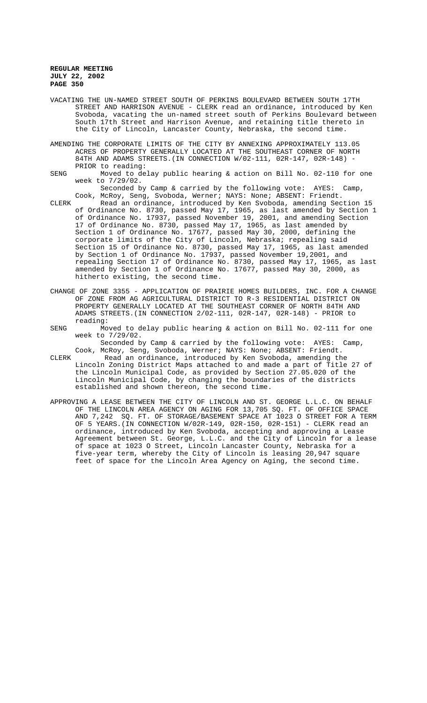VACATING THE UN-NAMED STREET SOUTH OF PERKINS BOULEVARD BETWEEN SOUTH 17TH STREET AND HARRISON AVENUE - CLERK read an ordinance, introduced by Ken Svoboda, vacating the un-named street south of Perkins Boulevard between South 17th Street and Harrison Avenue, and retaining title thereto in the City of Lincoln, Lancaster County, Nebraska, the second time.

AMENDING THE CORPORATE LIMITS OF THE CITY BY ANNEXING APPROXIMATELY 113.05 ACRES OF PROPERTY GENERALLY LOCATED AT THE SOUTHEAST CORNER OF NORTH 84TH AND ADAMS STREETS.(IN CONNECTION W/02-111, 02R-147, 02R-148) - PRIOR to reading:

SENG Moved to delay public hearing & action on Bill No. 02-110 for one week to 7/29/02.

Seconded by Camp & carried by the following vote: AYES: Camp, Cook, McRoy, Seng, Svoboda, Werner; NAYS: None; ABSENT: Friendt.

CLERK Read an ordinance, introduced by Ken Svoboda, amending Section 15 of Ordinance No. 8730, passed May 17, 1965, as last amended by Section 1 of Ordinance No. 17937, passed November 19, 2001, and amending Section 17 of Ordinance No. 8730, passed May 17, 1965, as last amended by Section 1 of Ordinance No. 17677, passed May 30, 2000, defining the corporate limits of the City of Lincoln, Nebraska; repealing said Section 15 of Ordinance No. 8730, passed May 17, 1965, as last amended by Section 1 of Ordinance No. 17937, passed November 19,2001, and repealing Section 17 of Ordinance No. 8730, passed May 17, 1965, as last amended by Section 1 of Ordinance No. 17677, passed May 30, 2000, as hitherto existing, the second time.

- CHANGE OF ZONE 3355 APPLICATION OF PRAIRIE HOMES BUILDERS, INC. FOR A CHANGE OF ZONE FROM AG AGRICULTURAL DISTRICT TO R-3 RESIDENTIAL DISTRICT ON PROPERTY GENERALLY LOCATED AT THE SOUTHEAST CORNER OF NORTH 84TH AND ADAMS STREETS.(IN CONNECTION 2/02-111, 02R-147, 02R-148) - PRIOR to reading:
- SENG Moved to delay public hearing & action on Bill No. 02-111 for one week to 7/29/02.

Seconded by Camp & carried by the following vote: AYES: Camp, Cook, McRoy, Seng, Svoboda, Werner; NAYS: None; ABSENT: Friendt.

- CLERK Read an ordinance, introduced by Ken Svoboda, amending the Lincoln Zoning District Maps attached to and made a part of Title 27 of the Lincoln Municipal Code, as provided by Section 27.05.020 of the Lincoln Municipal Code, by changing the boundaries of the districts established and shown thereon, the second time.
- APPROVING A LEASE BETWEEN THE CITY OF LINCOLN AND ST. GEORGE L.L.C. ON BEHALF OF THE LINCOLN AREA AGENCY ON AGING FOR 13,705 SQ. FT. OF OFFICE SPACE AND 7,242 SQ. FT. OF STORAGE/BASEMENT SPACE AT 1023 O STREET FOR A TERM OF 5 YEARS.(IN CONNECTION W/02R-149, 02R-150, 02R-151) - CLERK read an ordinance, introduced by Ken Svoboda, accepting and approving a Lease Agreement between St. George, L.L.C. and the City of Lincoln for a lease of space at 1023 O Street, Lincoln Lancaster County, Nebraska for a five-year term, whereby the City of Lincoln is leasing 20,947 square feet of space for the Lincoln Area Agency on Aging, the second time.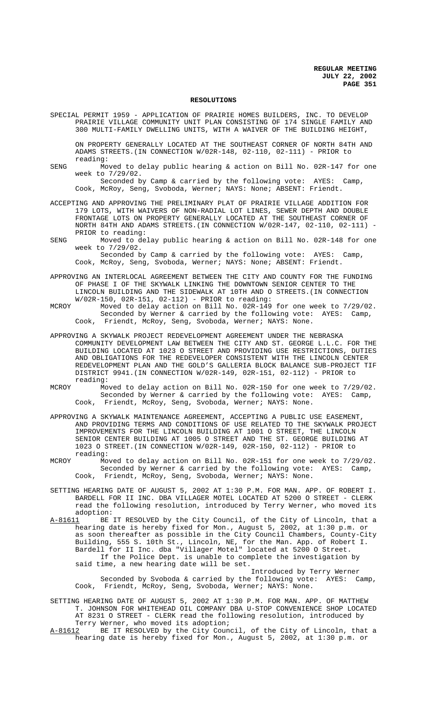#### **RESOLUTIONS**

SPECIAL PERMIT 1959 - APPLICATION OF PRAIRIE HOMES BUILDERS, INC. TO DEVELOP PRAIRIE VILLAGE COMMUNITY UNIT PLAN CONSISTING OF 174 SINGLE FAMILY AND 300 MULTI-FAMILY DWELLING UNITS, WITH A WAIVER OF THE BUILDING HEIGHT,

ON PROPERTY GENERALLY LOCATED AT THE SOUTHEAST CORNER OF NORTH 84TH AND ADAMS STREETS.(IN CONNECTION W/02R-148, 02-110, 02-111) - PRIOR to reading:

SENG Moved to delay public hearing & action on Bill No. 02R-147 for one week to 7/29/02.

Seconded by Camp & carried by the following vote: AYES: Camp, Cook, McRoy, Seng, Svoboda, Werner; NAYS: None; ABSENT: Friendt.

- ACCEPTING AND APPROVING THE PRELIMINARY PLAT OF PRAIRIE VILLAGE ADDITION FOR 179 LOTS, WITH WAIVERS OF NON-RADIAL LOT LINES, SEWER DEPTH AND DOUBLE FRONTAGE LOTS ON PROPERTY GENERALLY LOCATED AT THE SOUTHEAST CORNER OF NORTH 84TH AND ADAMS STREETS.(IN CONNECTION W/02R-147, 02-110, 02-111) - PRIOR to reading:
- SENG Moved to delay public hearing & action on Bill No. 02R-148 for one week to 7/29/02.

Seconded by Camp & carried by the following vote: AYES: Camp, Cook, McRoy, Seng, Svoboda, Werner; NAYS: None; ABSENT: Friendt.

- APPROVING AN INTERLOCAL AGREEMENT BETWEEN THE CITY AND COUNTY FOR THE FUNDING OF PHASE I OF THE SKYWALK LINKING THE DOWNTOWN SENIOR CENTER TO THE LINCOLN BUILDING AND THE SIDEWALK AT 10TH AND O STREETS.(IN CONNECTION W/02R-150, 02R-151, 02-112) - PRIOR to reading:
- MCROY Moved to delay action on Bill No. 02R-149 for one week to 7/29/02. Seconded by Werner & carried by the following vote: AYES: Camp, Cook, Friendt, McRoy, Seng, Svoboda, Werner; NAYS: None.
- APPROVING A SKYWALK PROJECT REDEVELOPMENT AGREEMENT UNDER THE NEBRASKA COMMUNITY DEVELOPMENT LAW BETWEEN THE CITY AND ST. GEORGE L.L.C. FOR THE BUILDING LOCATED AT 1023 O STREET AND PROVIDING USE RESTRICTIONS, DUTIES AND OBLIGATIONS FOR THE REDEVELOPER CONSISTENT WITH THE LINCOLN CENTER REDEVELOPMENT PLAN AND THE GOLD'S GALLERIA BLOCK BALANCE SUB-PROJECT TIF DISTRICT 9941.(IN CONNECTION W/02R-149, 02R-151, 02-112) - PRIOR to reading:
- MCROY Moved to delay action on Bill No. 02R-150 for one week to 7/29/02. Seconded by Werner & carried by the following vote: AYES: Camp, Cook, Friendt, McRoy, Seng, Svoboda, Werner; NAYS: None.
- APPROVING A SKYWALK MAINTENANCE AGREEMENT, ACCEPTING A PUBLIC USE EASEMENT, AND PROVIDING TERMS AND CONDITIONS OF USE RELATED TO THE SKYWALK PROJECT IMPROVEMENTS FOR THE LINCOLN BUILDING AT 1001 O STREET, THE LINCOLN SENIOR CENTER BUILDING AT 1005 O STREET AND THE ST. GEORGE BUILDING AT 1023 O STREET.(IN CONNECTION W/02R-149, 02R-150, 02-112) - PRIOR to reading:
- MCROY Moved to delay action on Bill No. 02R-151 for one week to 7/29/02. Seconded by Werner & carried by the following vote: AYES: Camp, Cook, Friendt, McRoy, Seng, Svoboda, Werner; NAYS: None.
- SETTING HEARING DATE OF AUGUST 5, 2002 AT 1:30 P.M. FOR MAN. APP. OF ROBERT I. BARDELL FOR II INC. DBA VILLAGER MOTEL LOCATED AT 5200 O STREET - CLERK read the following resolution, introduced by Terry Werner, who moved its adoption:
- A-81611 BE IT RESOLVED by the City Council, of the City of Lincoln, that a hearing date is hereby fixed for Mon., August 5, 2002, at 1:30 p.m. or as soon thereafter as possible in the City Council Chambers, County-City Building, 555 S. 10th St., Lincoln, NE, for the Man. App. of Robert I. Bardell for II Inc. dba "Villager Motel" located at 5200 O Street. If the Police Dept. is unable to complete the investigation by said time, a new hearing date will be set.
	- Introduced by Terry Werner Seconded by Svoboda & carried by the following vote: AYES: Camp, Cook, Friendt, McRoy, Seng, Svoboda, Werner; NAYS: None.
- SETTING HEARING DATE OF AUGUST 5, 2002 AT 1:30 P.M. FOR MAN. APP. OF MATTHEW T. JOHNSON FOR WHITEHEAD OIL COMPANY DBA U-STOP CONVENIENCE SHOP LOCATED AT 8231 O STREET - CLERK read the following resolution, introduced by Terry Werner, who moved its adoption;
- A-81612 BE IT RESOLVED by the City Council, of the City of Lincoln, that a hearing date is hereby fixed for Mon., August 5, 2002, at 1:30 p.m. or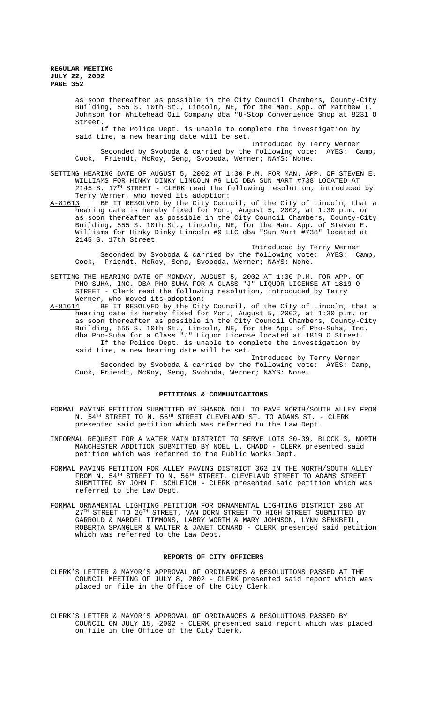as soon thereafter as possible in the City Council Chambers, County-City Building, 555 S. 10th St., Lincoln, NE, for the Man. App. of Matthew T. Johnson for Whitehead Oil Company dba "U-Stop Convenience Shop at 8231 O Street.

If the Police Dept. is unable to complete the investigation by said time, a new hearing date will be set.

Introduced by Terry Werner Seconded by Svoboda & carried by the following vote: AYES: Camp, Cook, Friendt, McRoy, Seng, Svoboda, Werner; NAYS: None.

SETTING HEARING DATE OF AUGUST 5, 2002 AT 1:30 P.M. FOR MAN. APP. OF STEVEN E. WILLIAMS FOR HINKY DINKY LINCOLN #9 LLC DBA SUN MART #738 LOCATED AT  $2145$  S.  $17<sup>TH</sup>$  STREET - CLERK read the following resolution, introduced by

Terry Werner, who moved its adoption:<br>A-81613 BE IT RESOLVED by the City Coun BE IT RESOLVED by the City Council, of the City of Lincoln, that a hearing date is hereby fixed for Mon., August 5, 2002, at 1:30 p.m. or as soon thereafter as possible in the City Council Chambers, County-City Building, 555 S. 10th St., Lincoln, NE, for the Man. App. of Steven E. Williams for Hinky Dinky Lincoln #9 LLC dba "Sun Mart #738" located at 2145 S. 17th Street.

Introduced by Terry Werner Seconded by Svoboda & carried by the following vote: AYES: Camp, Cook, Friendt, McRoy, Seng, Svoboda, Werner; NAYS: None.

SETTING THE HEARING DATE OF MONDAY, AUGUST 5, 2002 AT 1:30 P.M. FOR APP. OF PHO-SUHA, INC. DBA PHO-SUHA FOR A CLASS "J" LIQUOR LICENSE AT 1819 O STREET - Clerk read the following resolution, introduced by Terry Werner, who moved its adoption:

A-81614 BE IT RESOLVED by the City Council, of the City of Lincoln, that a hearing date is hereby fixed for Mon., August 5, 2002, at 1:30 p.m. or as soon thereafter as possible in the City Council Chambers, County-City Building, 555 S. 10th St., Lincoln, NE, for the App. of Pho-Suha, Inc. dba Pho-Suha for a Class "J" Liquor License located at 1819 O Street. If the Police Dept. is unable to complete the investigation by said time, a new hearing date will be set.

Introduced by Terry Werner Seconded by Svoboda & carried by the following vote: AYES: Camp, Cook, Friendt, McRoy, Seng, Svoboda, Werner; NAYS: None.

#### **PETITIONS & COMMUNICATIONS**

- FORMAL PAVING PETITION SUBMITTED BY SHARON DOLL TO PAVE NORTH/SOUTH ALLEY FROM N. 54TH STREET TO N. 56TH STREET CLEVELAND ST. TO ADAMS ST. - CLERK presented said petition which was referred to the Law Dept.
- INFORMAL REQUEST FOR A WATER MAIN DISTRICT TO SERVE LOTS 30-39, BLOCK 3, NORTH MANCHESTER ADDITION SUBMITTED BY NOEL L. CHADD - CLERK presented said petition which was referred to the Public Works Dept.
- FORMAL PAVING PETITION FOR ALLEY PAVING DISTRICT 362 IN THE NORTH/SOUTH ALLEY FROM N.  $54^{TH}$  STREET TO N.  $56^{TH}$  STREET, CLEVELAND STREET TO ADAMS STREET SUBMITTED BY JOHN F. SCHLEICH - CLERK presented said petition which was referred to the Law Dept.
- FORMAL ORNAMENTAL LIGHTING PETITION FOR ORNAMENTAL LIGHTING DISTRICT 286 AT  $27<sup>TH</sup>$  STREET TO  $20<sup>TH</sup>$  STREET, VAN DORN STREET TO HIGH STREET SUBMITTED BY GARROLD & MARDEL TIMMONS, LARRY WORTH & MARY JOHNSON, LYNN SENKBEIL, ROBERTA SPANGLER & WALTER & JANET CONARD - CLERK presented said petition which was referred to the Law Dept.

#### **REPORTS OF CITY OFFICERS**

- CLERK'S LETTER & MAYOR'S APPROVAL OF ORDINANCES & RESOLUTIONS PASSED AT THE COUNCIL MEETING OF JULY 8, 2002 - CLERK presented said report which was placed on file in the Office of the City Clerk.
- CLERK'S LETTER & MAYOR'S APPROVAL OF ORDINANCES & RESOLUTIONS PASSED BY COUNCIL ON JULY 15, 2002 - CLERK presented said report which was placed on file in the Office of the City Clerk.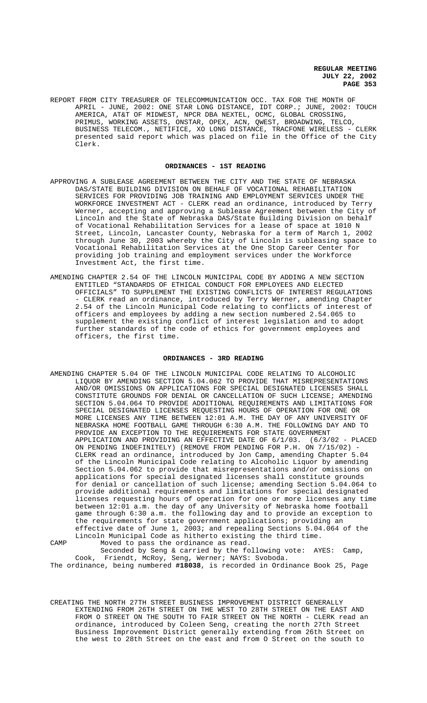REPORT FROM CITY TREASURER OF TELECOMMUNICATION OCC. TAX FOR THE MONTH OF APRIL - JUNE, 2002: ONE STAR LONG DISTANCE, IDT CORP.; JUNE, 2002: TOUCH AMERICA, AT&T OF MIDWEST, NPCR DBA NEXTEL, OCMC, GLOBAL CROSSING, PRIMUS, WORKING ASSETS, ONSTAR, OPEX, ACN, QWEST, BROADWING, TELCO, BUSINESS TELECOM., NETIFICE, XO LONG DISTANCE, TRACFONE WIRELESS - CLERK presented said report which was placed on file in the Office of the City Clerk.

### **ORDINANCES - 1ST READING**

- APPROVING A SUBLEASE AGREEMENT BETWEEN THE CITY AND THE STATE OF NEBRASKA DAS/STATE BUILDING DIVISION ON BEHALF OF VOCATIONAL REHABILITATION SERVICES FOR PROVIDING JOB TRAINING AND EMPLOYMENT SERVICES UNDER THE WORKFORCE INVESTMENT ACT - CLERK read an ordinance, introduced by Terry Werner, accepting and approving a Sublease Agreement between the City of Lincoln and the State of Nebraska DAS/State Building Division on behalf of Vocational Rehabilitation Services for a lease of space at 1010 N Street, Lincoln, Lancaster County, Nebraska for a term of March 1, 2002 through June 30, 2003 whereby the City of Lincoln is subleasing space to Vocational Rehabilitation Services at the One Stop Career Center for providing job training and employment services under the Workforce Investment Act, the first time.
- AMENDING CHAPTER 2.54 OF THE LINCOLN MUNICIPAL CODE BY ADDING A NEW SECTION ENTITLED "STANDARDS OF ETHICAL CONDUCT FOR EMPLOYEES AND ELECTED OFFICIALS" TO SUPPLEMENT THE EXISTING CONFLICTS OF INTEREST REGULATIONS - CLERK read an ordinance, introduced by Terry Werner, amending Chapter 2.54 of the Lincoln Municipal Code relating to conflicts of interest of officers and employees by adding a new section numbered 2.54.065 to supplement the existing conflict of interest legislation and to adopt further standards of the code of ethics for government employees and officers, the first time.

### **ORDINANCES - 3RD READING**

- AMENDING CHAPTER 5.04 OF THE LINCOLN MUNICIPAL CODE RELATING TO ALCOHOLIC LIQUOR BY AMENDING SECTION 5.04.062 TO PROVIDE THAT MISREPRESENTATIONS AND/OR OMISSIONS ON APPLICATIONS FOR SPECIAL DESIGNATED LICENSES SHALL CONSTITUTE GROUNDS FOR DENIAL OR CANCELLATION OF SUCH LICENSE; AMENDING SECTION 5.04.064 TO PROVIDE ADDITIONAL REQUIREMENTS AND LIMITATIONS FOR SPECIAL DESIGNATED LICENSES REQUESTING HOURS OF OPERATION FOR ONE OR MORE LICENSES ANY TIME BETWEEN 12:01 A.M. THE DAY OF ANY UNIVERSITY OF NEBRASKA HOME FOOTBALL GAME THROUGH 6:30 A.M. THE FOLLOWING DAY AND TO PROVIDE AN EXCEPTION TO THE REQUIREMENTS FOR STATE GOVERNMENT APPLICATION AND PROVIDING AN EFFECTIVE DATE OF 6/1/03. (6/3/02 - PLACED ON PENDING INDEFINITELY) (REMOVE FROM PENDING FOR P.H. ON 7/15/02) - CLERK read an ordinance, introduced by Jon Camp, amending Chapter 5.04 of the Lincoln Municipal Code relating to Alcoholic Liquor by amending Section 5.04.062 to provide that misrepresentations and/or omissions on applications for special designated licenses shall constitute grounds for denial or cancellation of such license; amending Section 5.04.064 to provide additional requirements and limitations for special designated licenses requesting hours of operation for one or more licenses any time between 12:01 a.m. the day of any University of Nebraska home football game through 6:30 a.m. the following day and to provide an exception to the requirements for state government applications; providing an effective date of June 1, 2003; and repealing Sections 5.04.064 of the Lincoln Municipal Code as hitherto existing the third time. CAMP Moved to pass the ordinance as read.
- Seconded by Seng & carried by the following vote: AYES: Camp, Cook, Friendt, McRoy, Seng, Werner; NAYS: Svoboda. The ordinance, being numbered **#18038**, is recorded in Ordinance Book 25, Page
- CREATING THE NORTH 27TH STREET BUSINESS IMPROVEMENT DISTRICT GENERALLY EXTENDING FROM 26TH STREET ON THE WEST TO 28TH STREET ON THE EAST AND FROM O STREET ON THE SOUTH TO FAIR STREET ON THE NORTH - CLERK read an ordinance, introduced by Coleen Seng, creating the north 27th Street Business Improvement District generally extending from 26th Street on the west to 28th Street on the east and from O Street on the south to